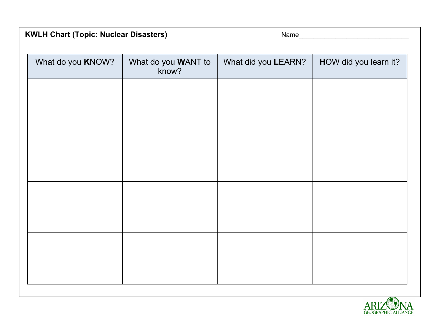## **KWLH Chart (Topic: Nuclear Disasters)** Name\_\_\_\_\_\_\_\_\_\_\_\_\_\_\_\_\_\_\_\_\_\_\_\_\_\_\_\_\_\_

| What do you KNOW? | What do you WANT to<br>know? | What did you LEARN? | HOW did you learn it? |
|-------------------|------------------------------|---------------------|-----------------------|
|                   |                              |                     |                       |
|                   |                              |                     |                       |
|                   |                              |                     |                       |
|                   |                              |                     |                       |
|                   |                              |                     |                       |
|                   |                              |                     |                       |
|                   |                              |                     |                       |
|                   |                              |                     |                       |
|                   |                              |                     |                       |

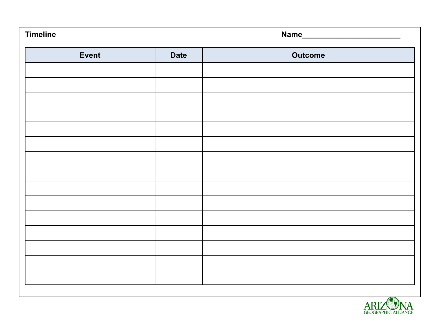| <b>Timeline</b> |             |                |  |
|-----------------|-------------|----------------|--|
| Event           | <b>Date</b> | <b>Outcome</b> |  |
|                 |             |                |  |
|                 |             |                |  |
|                 |             |                |  |
|                 |             |                |  |
|                 |             |                |  |
|                 |             |                |  |
|                 |             |                |  |
|                 |             |                |  |
|                 |             |                |  |
|                 |             |                |  |
|                 |             |                |  |
|                 |             |                |  |
|                 |             |                |  |
|                 |             |                |  |
|                 |             |                |  |

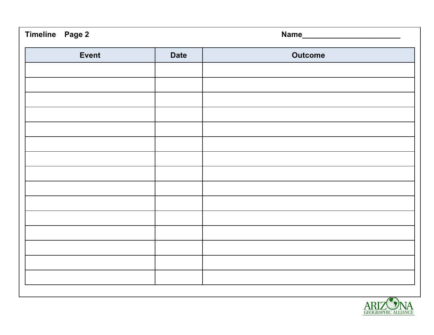| Timeline Page 2 |             |                |  |
|-----------------|-------------|----------------|--|
| <b>Event</b>    | <b>Date</b> | <b>Outcome</b> |  |
|                 |             |                |  |
|                 |             |                |  |
|                 |             |                |  |
|                 |             |                |  |
|                 |             |                |  |
|                 |             |                |  |
|                 |             |                |  |
|                 |             |                |  |
|                 |             |                |  |
|                 |             |                |  |
|                 |             |                |  |
|                 |             |                |  |
|                 |             |                |  |
|                 |             |                |  |
|                 |             |                |  |

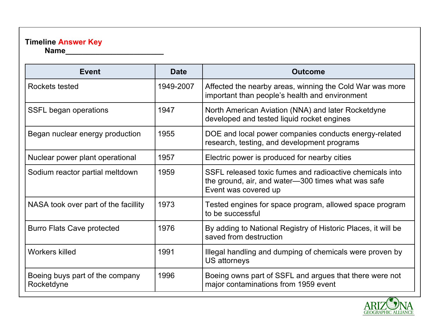## **Timeline Answer Key**

**Name\_\_\_\_\_\_\_\_\_\_\_\_\_\_\_\_\_\_\_\_\_\_\_**

| <b>Event</b>                                  | <b>Date</b> | <b>Outcome</b>                                                                                                                         |  |
|-----------------------------------------------|-------------|----------------------------------------------------------------------------------------------------------------------------------------|--|
| Rockets tested                                | 1949-2007   | Affected the nearby areas, winning the Cold War was more<br>important than people's health and environment                             |  |
| SSFL began operations                         | 1947        | North American Aviation (NNA) and later Rocketdyne<br>developed and tested liquid rocket engines                                       |  |
| Began nuclear energy production               | 1955        | DOE and local power companies conducts energy-related<br>research, testing, and development programs                                   |  |
| Nuclear power plant operational               | 1957        | Electric power is produced for nearby cities                                                                                           |  |
| Sodium reactor partial meltdown               | 1959        | SSFL released toxic fumes and radioactive chemicals into<br>the ground, air, and water-300 times what was safe<br>Event was covered up |  |
| NASA took over part of the facillity          | 1973        | Tested engines for space program, allowed space program<br>to be successful                                                            |  |
| <b>Burro Flats Cave protected</b>             | 1976        | By adding to National Registry of Historic Places, it will be<br>saved from destruction                                                |  |
| <b>Workers killed</b>                         | 1991        | Illegal handling and dumping of chemicals were proven by<br>US attorneys                                                               |  |
| Boeing buys part of the company<br>Rocketdyne | 1996        | Boeing owns part of SSFL and argues that there were not<br>major contaminations from 1959 event                                        |  |

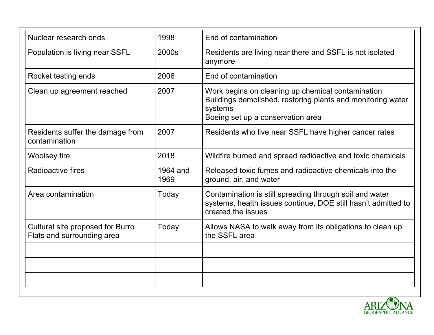| Nuclear research ends                                          | 1998             | End of contamination                                                                                                                                             |  |
|----------------------------------------------------------------|------------------|------------------------------------------------------------------------------------------------------------------------------------------------------------------|--|
| Population is living near SSFL                                 | 2000s            | Residents are living near there and SSFL is not isolated<br>anymore                                                                                              |  |
| Rocket testing ends                                            | 2006             | End of contamination                                                                                                                                             |  |
| Clean up agreement reached                                     | 2007             | Work begins on cleaning up chemical contamination<br>Buildings demolished, restoring plants and monitoring water<br>systems<br>Boeing set up a conservation area |  |
| Residents suffer the damage from<br>contamination              | 2007             | Residents who live near SSFL have higher cancer rates                                                                                                            |  |
| Woolsey fire                                                   | 2018             | Wildfire burned and spread radioactive and toxic chemicals                                                                                                       |  |
| Radioactive fires                                              | 1964 and<br>1969 | Released toxic fumes and radioactive chemicals into the<br>ground, air, and water                                                                                |  |
| Area contamination                                             | Today            | Contamination is still spreading through soil and water<br>systems, health issues continue, DOE still hasn't admitted to<br>created the issues                   |  |
| Cultural site proposed for Burro<br>Flats and surrounding area | Today            | Allows NASA to walk away from its obligations to clean up<br>the SSFL area                                                                                       |  |
|                                                                |                  |                                                                                                                                                                  |  |